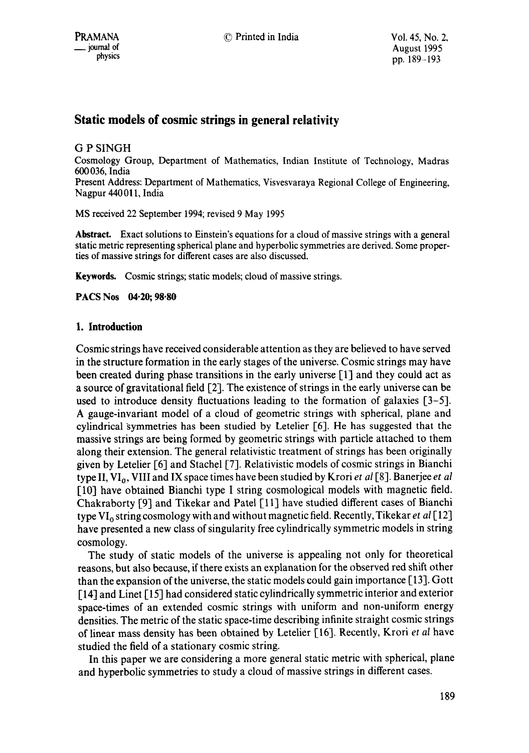# **Static models of cosmic strings in general relativity**

G P SINGH Cosmology Group, Department of Mathematics, Indian Institute of Technology, Madras 600 036, India Present Address: Department of Mathematics, Visvesvaraya Regional College of Engineering, Nagpur 440011, India

MS received 22 September 1994; revised 9 May 1995

**Abstract.** Exact solutions to Einstein's equations for a cloud of massive strings with a general static metric representing spherical plane and hyperbolic symmetries are derived. Some properties of massive strings for different cases are also discussed.

Keywords. Cosmic strings; static models; cloud of massive strings.

**PACS Nos 04.20; 98.80** 

# **1. Introduction**

Cosmic strings have received considerable attention as they are believed to have served in the structure formation in the early stages of the universe. Cosmic strings may have been created during phase transitions in the early universe [1] and they could act as a source of gravitational field [2]. The existence of strings in the early universe can be used to introduce density fluctuations leading to the formation of galaxies  $[3-5]$ . A gauge-invariant model of a cloud of geometric strings with spherical, plane and cylindrical symmetries has been studied by Letelier [6]. He has suggested that the massive strings are being formed by geometric strings with particle attached to them along their extension. The general relativistic treatment of strings has been originally given by Letelier [6] and Stachel [7]. Relativistic models of cosmic strings in Bianchi type II, VI<sub>0</sub>, VIII and IX space times have been studied by Krori *et al* [8]. Banerjee *et al* [10] have obtained Bianchi type I string cosmological models with magnetic field. Chakraborty [9] and Tikekar and Patel [11] have studied different cases of Bianchi type VIo string cosmology with and without magnetic field, Recently, Tikekar *et al* [12] have presented a new class of singularity free cylindrically symmetric models in string cosmology.

The study of static models of the universe is appealing not only for theoretical reasons, but also because, if there exists an explanation for the observed red shift other than the expansion of the universe, the static models could gain importance [13]. Gott [14] and Linet [15] had considered static cylindrically symmetric interior and exterior space-times of an extended cosmic strings with uniform and non-uniform energy densities. The metric of the static space-time describing infinite straight cosmic strings of linear mass density has been obtained by Letelier [16]. Recently, Krori *et al* have studied the field of a stationary cosmic string.

In this paper we are considering a more general static metric with spherical, plane and hyperbolic symmetries to study a cloud of massive strings in different cases.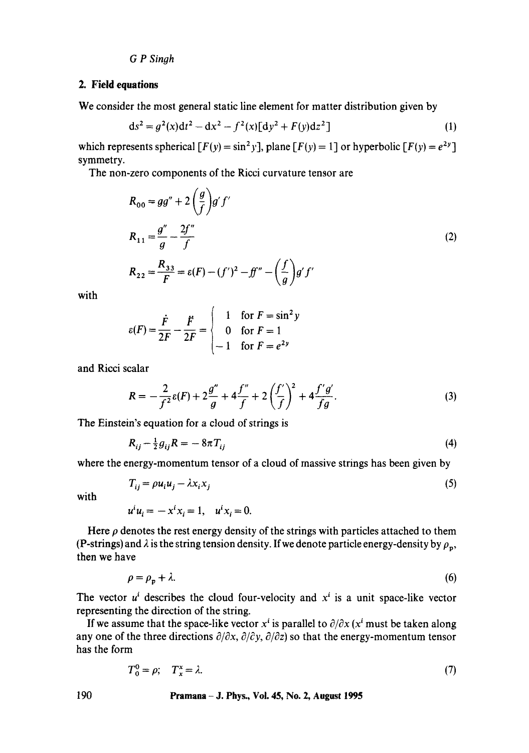## *G P Singh*

# 2. Field equations

We consider the most general static line element for matter distribution given by

$$
ds^{2} = g^{2}(x)dt^{2} - dx^{2} - f^{2}(x)[dy^{2} + F(y)dz^{2}]
$$
\n(1)

which represents spherical  $[F(y) = \sin^2 y]$ , plane  $[F(y) = 1]$  or hyperbolic  $[F(y) = e^{2y}]$ symmetry.

The non-zero components of the Ricci curvature tensor are

$$
R_{00} = gg'' + 2\left(\frac{g}{f}\right)g' f'
$$
  
\n
$$
R_{11} = \frac{g''}{g} - \frac{2f''}{f}
$$
  
\n
$$
R_{22} = \frac{R_{33}}{F} = \varepsilon(F) - (f')^2 - ff'' - \left(\frac{f}{g}\right)g' f'
$$
\n(2)

with

$$
\varepsilon(F) = \frac{\dot{F}}{2F} - \frac{F}{2F} = \begin{cases} 1 & \text{for } F = \sin^2 y \\ 0 & \text{for } F = 1 \\ -1 & \text{for } F = e^{2y} \end{cases}
$$

and Ricci scalar

$$
R = -\frac{2}{f^2} \varepsilon(F) + 2\frac{g''}{g} + 4\frac{f''}{f} + 2\left(\frac{f'}{f}\right)^2 + 4\frac{f'g'}{fg}.
$$
 (3)

The Einstein's equation for a cloud of strings is

$$
R_{ij} - \frac{1}{2}g_{ij}R = -8\pi T_{ij}
$$
 (4)

where the energy-momentum tensor of a cloud of massive strings has been given by

$$
T_{ij} = \rho u_i u_j - \lambda x_i x_j \tag{5}
$$

with

$$
u^i u_i = -x^i x_i = 1, \quad u^i x_i = 0.
$$

Here  $\rho$  denotes the rest energy density of the strings with particles attached to them (P-strings) and  $\lambda$  is the string tension density. If we denote particle energy-density by  $\rho_{\bf{n}}$ , then we have

$$
\rho = \rho_p + \lambda. \tag{6}
$$

The vector  $u^i$  describes the cloud four-velocity and  $x^i$  is a unit space-like vector representing the direction of the string.

If we assume that the space-like vector  $x^i$  is parallel to  $\partial/\partial x$  ( $x^i$  must be taken along any one of the three directions  $\partial/\partial x$ ,  $\partial/\partial y$ ,  $\partial/\partial z$ ) so that the energy-momentum tensor has the form

$$
T_0^0 = \rho; \quad T_x^x = \lambda. \tag{7}
$$

### **190 Pramana -J. Phys., Vol. 45, No. 2, August 1995**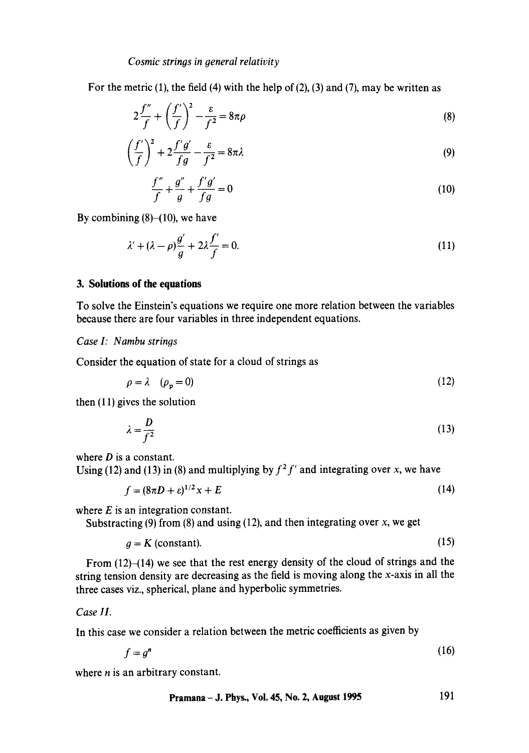## *Cosmic strings in general relativity*

For the metric  $(1)$ , the field  $(4)$  with the help of  $(2)$ ,  $(3)$  and  $(7)$ , may be written as

$$
2\frac{f''}{f} + \left(\frac{f'}{f}\right)^2 - \frac{\varepsilon}{f^2} = 8\pi\rho\tag{8}
$$

$$
\left(\frac{f'}{f}\right)^2 + 2\frac{f'g'}{fg} - \frac{\varepsilon}{f^2} = 8\pi\lambda\tag{9}
$$

$$
\frac{f''}{f} + \frac{g''}{g} + \frac{f'g'}{fg} = 0\tag{10}
$$

By combining  $(8)$ – $(10)$ , we have

$$
\lambda' + (\lambda - \rho)\frac{g'}{g} + 2\lambda \frac{f'}{f} = 0. \tag{11}
$$

# **3. Solutions of the equations**

To solve the Einstein's equations we require one more relation between the variables because there are four variables in three independent equations.

### *Case I: Nambu strings*

Consider the equation of state for a cloud of strings as

$$
\rho = \lambda \quad (\rho_{\mathbf{v}} = 0) \tag{12}
$$

then (11) gives the solution

$$
\lambda = \frac{D}{f^2} \tag{13}
$$

where  $D$  is a constant.

Using (12) and (13) in (8) and multiplying by  $f^2 f'$  and integrating over x, we have

$$
f = (8\pi D + \varepsilon)^{1/2} x + E \tag{14}
$$

where  $E$  is an integration constant.

Substracting (9) from (8) and using (12), and then integrating over  $x$ , we get

$$
g = K \text{ (constant)}.
$$
 (15)

From  $(12)$ - $(14)$  we see that the rest energy density of the cloud of strings and the string tension density are decreasing as the field is moving along the x-axis in all the three cases viz., spherical, plane and hyperbolic symmetries.

## *Case II.*

In this case we consider a relation between the metric coefficients as given by

$$
f = g^n \tag{16}
$$

where  $n$  is an arbitrary constant.

**Pramana - J. Phys., Vol. 45, No. 2, August 1995** 191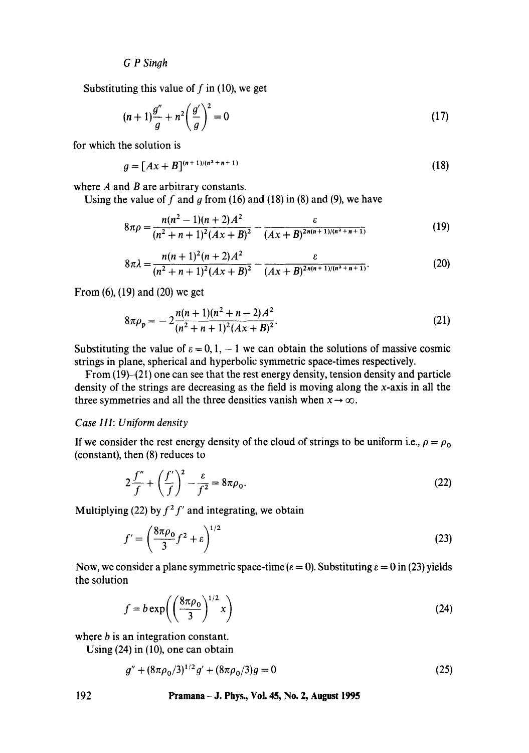*G P Sinoh* 

Substituting this value of  $f$  in (10), we get

$$
(n+1)\frac{g''}{g} + n^2 \left(\frac{g'}{g}\right)^2 = 0
$$
\n(17)

for which the solution is

$$
g = [Ax + B]^{(n+1)/(n^2+n+1)}
$$
 (18)

where  $A$  and  $B$  are arbitrary constants.

Using the value of f and g from (16) and (18) in (8) and (9), we have

$$
8\pi\rho = \frac{n(n^2 - 1)(n+2)A^2}{(n^2 + n + 1)^2 (Ax + B)^2} - \frac{\varepsilon}{(Ax + B)^{2n(n+1)/(n^2 + n + 1)}}
$$
(19)

$$
8\pi\lambda = \frac{n(n+1)^2(n+2)A^2}{(n^2+n+1)^2(Ax+B)^2} - \frac{\varepsilon}{(Ax+B)^{2n(n+1)/(n^2+n+1)}}.
$$
 (20)

From (6), (19) and (20) we get

$$
8\pi \rho_p = -2\frac{n(n+1)(n^2+n-2)A^2}{(n^2+n+1)^2(Ax+B)^2}.
$$
 (21)

Substituting the value of  $\varepsilon = 0, 1, -1$  we can obtain the solutions of massive cosmic strings in plane, spherical and hyperbolic symmetric space-times respectively.

From (19)-(21) one can see that the rest energy density, tension density and particle density of the strings are decreasing as the field is moving along the x-axis in all the three symmetries and all the three densities vanish when  $x \rightarrow \infty$ .

## *Case III: Uniform density*

If we consider the rest energy density of the cloud of strings to be uniform i.e.,  $\rho = \rho_0$ (constant), then (8) reduces to

$$
2\frac{f''}{f} + \left(\frac{f'}{f}\right)^2 - \frac{\varepsilon}{f^2} = 8\pi\rho_0.
$$
 (22)

Multiplying (22) by  $f^2 f'$  and integrating, we obtain

$$
f' = \left(\frac{8\pi\rho_0}{3}f^2 + \varepsilon\right)^{1/2} \tag{23}
$$

Now, we consider a plane symmetric space-time ( $\varepsilon = 0$ ). Substituting  $\varepsilon = 0$  in (23) yields the solution

$$
f = b \exp\left(\left(\frac{8\pi\rho_0}{3}\right)^{1/2} x\right) \tag{24}
$$

where *b* is an integration constant.

Using (24) in (10), one can obtain

$$
g'' + (8\pi\rho_0/3)^{1/2}g' + (8\pi\rho_0/3)g = 0\tag{25}
$$

**192 Pramana - J. Phys., Voi. 45, No. 2, August 1995**